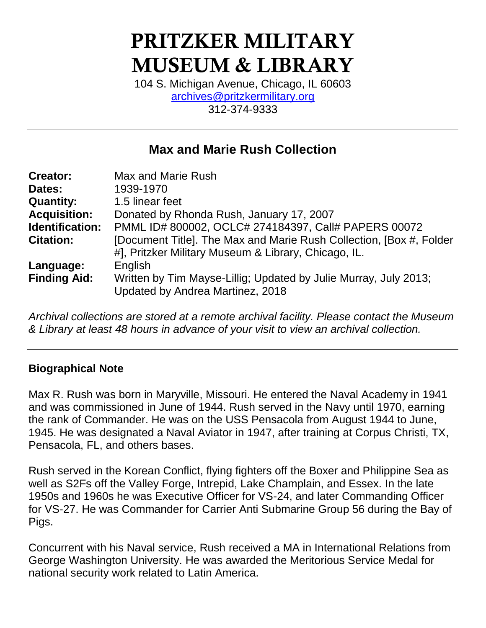# PRITZKER MILITARY MUSEUM & LIBRARY

104 S. Michigan Avenue, Chicago, IL 60603 [archives@pritzkermilitary.org](mailto:archives@pritzkermilitary.org) 312-374-9333

### **Max and Marie Rush Collection**

| <b>Creator:</b>     | Max and Marie Rush                                                                                   |
|---------------------|------------------------------------------------------------------------------------------------------|
| Dates:              | 1939-1970                                                                                            |
| <b>Quantity:</b>    | 1.5 linear feet                                                                                      |
| <b>Acquisition:</b> | Donated by Rhonda Rush, January 17, 2007                                                             |
| Identification:     | PMML ID# 800002, OCLC# 274184397, Call# PAPERS 00072                                                 |
| <b>Citation:</b>    | [Document Title]. The Max and Marie Rush Collection, [Box #, Folder                                  |
|                     | #], Pritzker Military Museum & Library, Chicago, IL.                                                 |
| Language:           | English                                                                                              |
| <b>Finding Aid:</b> | Written by Tim Mayse-Lillig; Updated by Julie Murray, July 2013;<br>Updated by Andrea Martinez, 2018 |

*Archival collections are stored at a remote archival facility. Please contact the Museum & Library at least 48 hours in advance of your visit to view an archival collection.*

#### **Biographical Note**

Max R. Rush was born in Maryville, Missouri. He entered the Naval Academy in 1941 and was commissioned in June of 1944. Rush served in the Navy until 1970, earning the rank of Commander. He was on the USS Pensacola from August 1944 to June, 1945. He was designated a Naval Aviator in 1947, after training at Corpus Christi, TX, Pensacola, FL, and others bases.

Rush served in the Korean Conflict, flying fighters off the Boxer and Philippine Sea as well as S2Fs off the Valley Forge, Intrepid, Lake Champlain, and Essex. In the late 1950s and 1960s he was Executive Officer for VS-24, and later Commanding Officer for VS-27. He was Commander for Carrier Anti Submarine Group 56 during the Bay of Pigs.

Concurrent with his Naval service, Rush received a MA in International Relations from George Washington University. He was awarded the Meritorious Service Medal for national security work related to Latin America.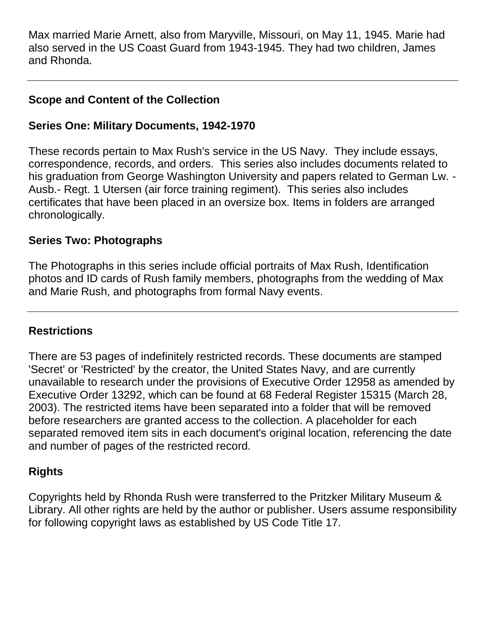Max married Marie Arnett, also from Maryville, Missouri, on May 11, 1945. Marie had also served in the US Coast Guard from 1943-1945. They had two children, James and Rhonda.

#### **Scope and Content of the Collection**

#### **Series One: Military Documents, 1942-1970**

These records pertain to Max Rush's service in the US Navy. They include essays, correspondence, records, and orders. This series also includes documents related to his graduation from George Washington University and papers related to German Lw. - Ausb.- Regt. 1 Utersen (air force training regiment). This series also includes certificates that have been placed in an oversize box. Items in folders are arranged chronologically.

#### **Series Two: Photographs**

The Photographs in this series include official portraits of Max Rush, Identification photos and ID cards of Rush family members, photographs from the wedding of Max and Marie Rush, and photographs from formal Navy events.

#### **Restrictions**

There are 53 pages of indefinitely restricted records. These documents are stamped 'Secret' or 'Restricted' by the creator, the United States Navy, and are currently unavailable to research under the provisions of Executive Order 12958 as amended by Executive Order 13292, which can be found at 68 Federal Register 15315 (March 28, 2003). The restricted items have been separated into a folder that will be removed before researchers are granted access to the collection. A placeholder for each separated removed item sits in each document's original location, referencing the date and number of pages of the restricted record.

#### **Rights**

Copyrights held by Rhonda Rush were transferred to the Pritzker Military Museum & Library. All other rights are held by the author or publisher. Users assume responsibility for following copyright laws as established by US Code Title 17.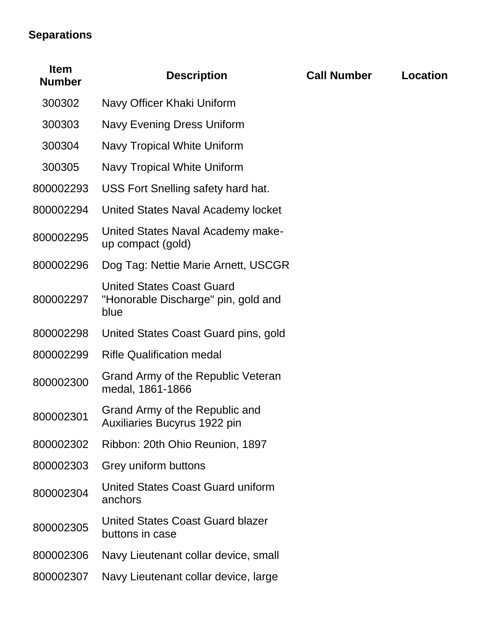## **Separations**

| <b>Item</b><br><b>Number</b> | <b>Description</b>                                                              | <b>Call Number</b> | <b>Location</b> |
|------------------------------|---------------------------------------------------------------------------------|--------------------|-----------------|
| 300302                       | Navy Officer Khaki Uniform                                                      |                    |                 |
| 300303                       | Navy Evening Dress Uniform                                                      |                    |                 |
| 300304                       | Navy Tropical White Uniform                                                     |                    |                 |
| 300305                       | Navy Tropical White Uniform                                                     |                    |                 |
| 800002293                    | USS Fort Snelling safety hard hat.                                              |                    |                 |
| 800002294                    | United States Naval Academy locket                                              |                    |                 |
| 800002295                    | United States Naval Academy make-<br>up compact (gold)                          |                    |                 |
| 800002296                    | Dog Tag: Nettie Marie Arnett, USCGR                                             |                    |                 |
| 800002297                    | <b>United States Coast Guard</b><br>"Honorable Discharge" pin, gold and<br>blue |                    |                 |
| 800002298                    | United States Coast Guard pins, gold                                            |                    |                 |
| 800002299                    | <b>Rifle Qualification medal</b>                                                |                    |                 |
| 800002300                    | Grand Army of the Republic Veteran<br>medal, 1861-1866                          |                    |                 |
| 800002301                    | Grand Army of the Republic and<br><b>Auxiliaries Bucyrus 1922 pin</b>           |                    |                 |
| 800002302                    | Ribbon: 20th Ohio Reunion, 1897                                                 |                    |                 |
| 800002303                    | Grey uniform buttons                                                            |                    |                 |
| 800002304                    | United States Coast Guard uniform<br>anchors                                    |                    |                 |
| 800002305                    | United States Coast Guard blazer<br>buttons in case                             |                    |                 |
| 800002306                    | Navy Lieutenant collar device, small                                            |                    |                 |
| 800002307                    | Navy Lieutenant collar device, large                                            |                    |                 |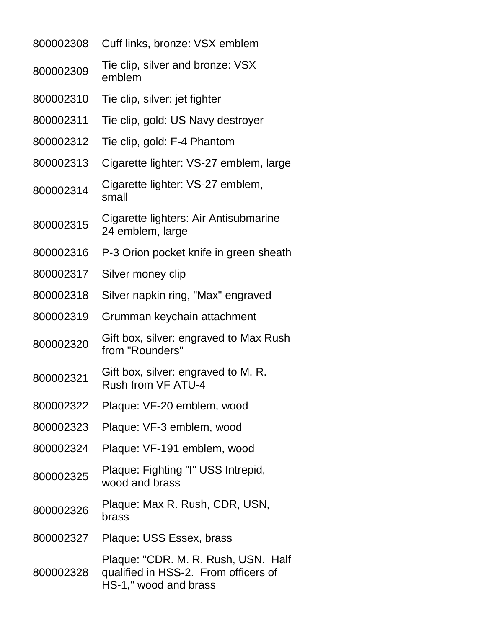| 800002308 | Cuff links, bronze: VSX emblem                                                                       |
|-----------|------------------------------------------------------------------------------------------------------|
| 800002309 | Tie clip, silver and bronze: VSX<br>emblem                                                           |
| 800002310 | Tie clip, silver: jet fighter                                                                        |
| 800002311 | Tie clip, gold: US Navy destroyer                                                                    |
| 800002312 | Tie clip, gold: F-4 Phantom                                                                          |
| 800002313 | Cigarette lighter: VS-27 emblem, large                                                               |
| 800002314 | Cigarette lighter: VS-27 emblem,<br>small                                                            |
| 800002315 | Cigarette lighters: Air Antisubmarine<br>24 emblem, large                                            |
| 800002316 | P-3 Orion pocket knife in green sheath                                                               |
| 800002317 | Silver money clip                                                                                    |
| 800002318 | Silver napkin ring, "Max" engraved                                                                   |
| 800002319 | Grumman keychain attachment                                                                          |
| 800002320 | Gift box, silver: engraved to Max Rush<br>from "Rounders"                                            |
| 800002321 | Gift box, silver: engraved to M. R.<br>Rush from VF ATU-4                                            |
| 800002322 | Plaque: VF-20 emblem, wood                                                                           |
| 800002323 | Plaque: VF-3 emblem, wood                                                                            |
| 800002324 | Plaque: VF-191 emblem, wood                                                                          |
| 800002325 | Plaque: Fighting "I" USS Intrepid,<br>wood and brass                                                 |
| 800002326 | Plaque: Max R. Rush, CDR, USN,<br>brass                                                              |
| 800002327 | Plaque: USS Essex, brass                                                                             |
| 800002328 | Plaque: "CDR. M. R. Rush, USN. Half<br>qualified in HSS-2. From officers of<br>HS-1," wood and brass |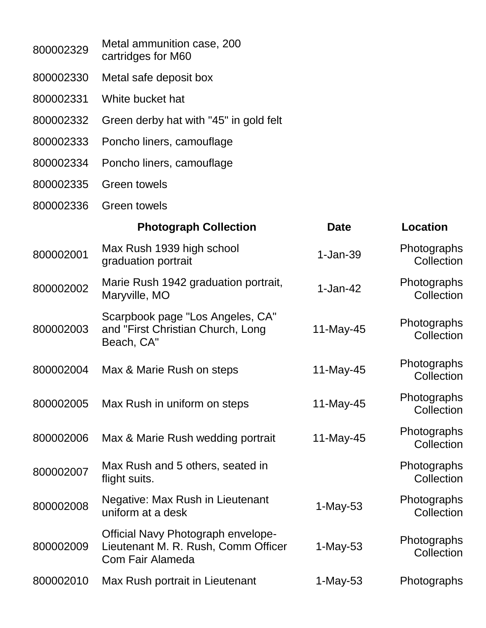| 800002329 | Metal ammunition case, 200<br>cartridges for M60                                                            |             |                           |
|-----------|-------------------------------------------------------------------------------------------------------------|-------------|---------------------------|
| 800002330 | Metal safe deposit box                                                                                      |             |                           |
| 800002331 | White bucket hat                                                                                            |             |                           |
| 800002332 | Green derby hat with "45" in gold felt                                                                      |             |                           |
| 800002333 | Poncho liners, camouflage                                                                                   |             |                           |
| 800002334 | Poncho liners, camouflage                                                                                   |             |                           |
| 800002335 | <b>Green towels</b>                                                                                         |             |                           |
| 800002336 | <b>Green towels</b>                                                                                         |             |                           |
|           | <b>Photograph Collection</b>                                                                                | <b>Date</b> | Location                  |
| 800002001 | Max Rush 1939 high school<br>graduation portrait                                                            | $1-Jan-39$  | Photographs<br>Collection |
| 800002002 | Marie Rush 1942 graduation portrait,<br>Maryville, MO                                                       | $1-Jan-42$  | Photographs<br>Collection |
| 800002003 | Scarpbook page "Los Angeles, CA"<br>and "First Christian Church, Long<br>Beach, CA"                         | 11-May-45   | Photographs<br>Collection |
| 800002004 | Max & Marie Rush on steps                                                                                   | 11-May-45   | Photographs<br>Collection |
| 800002005 | Max Rush in uniform on steps                                                                                | 11-May-45   | Photographs<br>Collection |
| 800002006 | Max & Marie Rush wedding portrait                                                                           | 11-May-45   | Photographs<br>Collection |
| 800002007 | Max Rush and 5 others, seated in<br>flight suits.                                                           |             | Photographs<br>Collection |
| 800002008 | Negative: Max Rush in Lieutenant<br>uniform at a desk                                                       | $1-May-53$  | Photographs<br>Collection |
| 800002009 | <b>Official Navy Photograph envelope-</b><br>Lieutenant M. R. Rush, Comm Officer<br><b>Com Fair Alameda</b> | $1-May-53$  | Photographs<br>Collection |
| 800002010 | Max Rush portrait in Lieutenant                                                                             | 1-May-53    | Photographs               |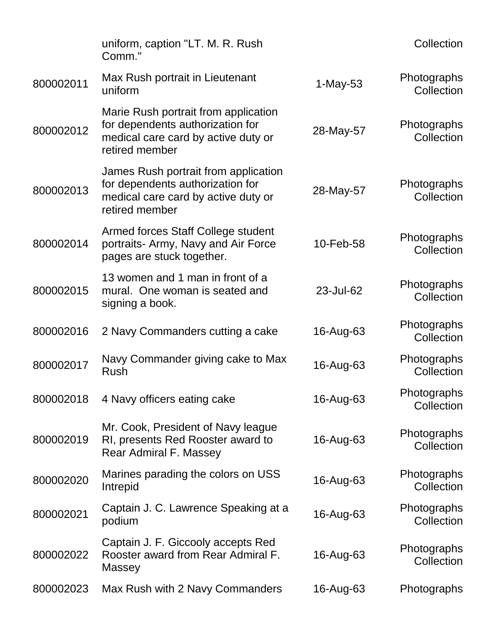|           | uniform, caption "LT. M. R. Rush<br>Comm."                                                                                        |            | Collection                |
|-----------|-----------------------------------------------------------------------------------------------------------------------------------|------------|---------------------------|
| 800002011 | Max Rush portrait in Lieutenant<br>uniform                                                                                        | $1-May-53$ | Photographs<br>Collection |
| 800002012 | Marie Rush portrait from application<br>for dependents authorization for<br>medical care card by active duty or<br>retired member | 28-May-57  | Photographs<br>Collection |
| 800002013 | James Rush portrait from application<br>for dependents authorization for<br>medical care card by active duty or<br>retired member | 28-May-57  | Photographs<br>Collection |
| 800002014 | Armed forces Staff College student<br>portraits- Army, Navy and Air Force<br>pages are stuck together.                            | 10-Feb-58  | Photographs<br>Collection |
| 800002015 | 13 women and 1 man in front of a<br>mural. One woman is seated and<br>signing a book.                                             | 23-Jul-62  | Photographs<br>Collection |
| 800002016 | 2 Navy Commanders cutting a cake                                                                                                  | 16-Aug-63  | Photographs<br>Collection |
| 800002017 | Navy Commander giving cake to Max<br>Rush                                                                                         | 16-Aug-63  | Photographs<br>Collection |
| 800002018 | 4 Navy officers eating cake                                                                                                       | 16-Aug-63  | Photographs<br>Collection |
| 800002019 | Mr. Cook, President of Navy league<br>RI, presents Red Rooster award to<br><b>Rear Admiral F. Massey</b>                          | 16-Aug-63  | Photographs<br>Collection |
| 800002020 | Marines parading the colors on USS<br>Intrepid                                                                                    | 16-Aug-63  | Photographs<br>Collection |
| 800002021 | Captain J. C. Lawrence Speaking at a<br>podium                                                                                    | 16-Aug-63  | Photographs<br>Collection |
| 800002022 | Captain J. F. Giccooly accepts Red<br>Rooster award from Rear Admiral F.<br>Massey                                                | 16-Aug-63  | Photographs<br>Collection |
| 800002023 | Max Rush with 2 Navy Commanders                                                                                                   | 16-Aug-63  | Photographs               |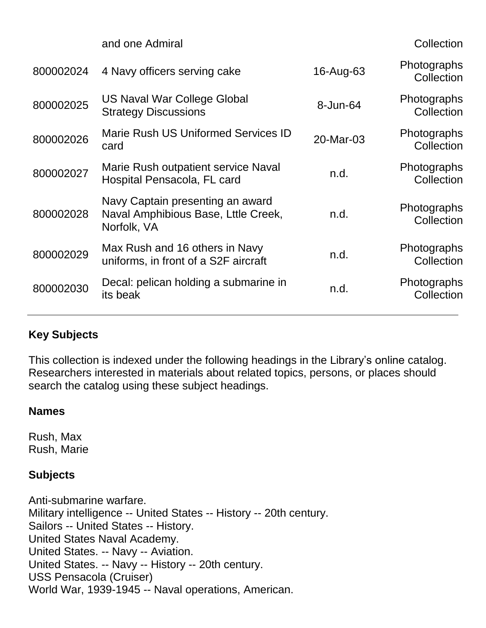|           | and one Admiral                                                                        |           | <b>Collection</b>                |
|-----------|----------------------------------------------------------------------------------------|-----------|----------------------------------|
| 800002024 | 4 Navy officers serving cake                                                           | 16-Aug-63 | Photographs<br>Collection        |
| 800002025 | US Naval War College Global<br><b>Strategy Discussions</b>                             | 8-Jun-64  | Photographs<br>Collection        |
| 800002026 | <b>Marie Rush US Uniformed Services ID</b><br>card                                     | 20-Mar-03 | Photographs<br>Collection        |
| 800002027 | Marie Rush outpatient service Naval<br>Hospital Pensacola, FL card                     | n.d.      | <b>Photographs</b><br>Collection |
| 800002028 | Navy Captain presenting an award<br>Naval Amphibious Base, Lttle Creek,<br>Norfolk, VA | n.d.      | Photographs<br>Collection        |
| 800002029 | Max Rush and 16 others in Navy<br>uniforms, in front of a S2F aircraft                 | n.d.      | Photographs<br>Collection        |
| 800002030 | Decal: pelican holding a submarine in<br>its beak                                      | n.d.      | Photographs<br>Collection        |
|           |                                                                                        |           |                                  |

#### **Key Subjects**

This collection is indexed under the following headings in the Library's online catalog. Researchers interested in materials about related topics, persons, or places should search the catalog using these subject headings.

#### **Names**

Rush, Max Rush, Marie

#### **Subjects**

Anti-submarine warfare. Military intelligence -- United States -- History -- 20th century. Sailors -- United States -- History. United States Naval Academy. United States. -- Navy -- Aviation. United States. -- Navy -- History -- 20th century. USS Pensacola (Cruiser) World War, 1939-1945 -- Naval operations, American.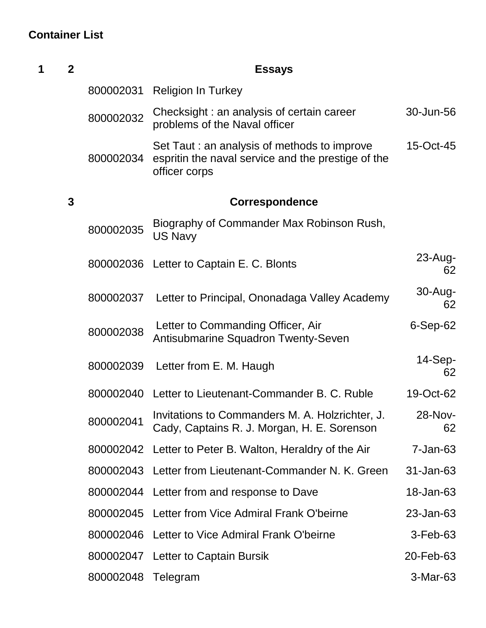## **Container List**

| 1 | $\overline{2}$ |           | <b>Essays</b>                                                                                                       |                   |
|---|----------------|-----------|---------------------------------------------------------------------------------------------------------------------|-------------------|
|   |                | 800002031 | <b>Religion In Turkey</b>                                                                                           |                   |
|   |                | 800002032 | Checksight: an analysis of certain career<br>problems of the Naval officer                                          | 30-Jun-56         |
|   |                | 800002034 | Set Taut : an analysis of methods to improve<br>espritin the naval service and the prestige of the<br>officer corps | 15-Oct-45         |
|   | $\mathbf 3$    |           | Correspondence                                                                                                      |                   |
|   |                | 800002035 | Biography of Commander Max Robinson Rush,<br><b>US Navy</b>                                                         |                   |
|   |                |           | 800002036 Letter to Captain E. C. Blonts                                                                            | $23$ -Aug-<br>62  |
|   |                | 800002037 | Letter to Principal, Ononadaga Valley Academy                                                                       | $30 - Aug-$<br>62 |
|   |                | 800002038 | Letter to Commanding Officer, Air<br>Antisubmarine Squadron Twenty-Seven                                            | $6-Sep-62$        |
|   |                | 800002039 | Letter from E. M. Haugh                                                                                             | $14-Sep-$<br>62   |
|   |                |           | 800002040 Letter to Lieutenant-Commander B. C. Ruble                                                                | 19-Oct-62         |
|   |                | 800002041 | Invitations to Commanders M. A. Holzrichter, J.<br>Cady, Captains R. J. Morgan, H. E. Sorenson                      | 28-Nov-<br>62     |
|   |                |           | 800002042 Letter to Peter B. Walton, Heraldry of the Air                                                            | $7 - Jan-63$      |
|   |                |           | 800002043 Letter from Lieutenant-Commander N. K. Green                                                              | 31-Jan-63         |
|   |                |           | 800002044 Letter from and response to Dave                                                                          | 18-Jan-63         |
|   |                | 800002045 | Letter from Vice Admiral Frank O'beirne                                                                             | 23-Jan-63         |
|   |                |           | 800002046 Letter to Vice Admiral Frank O'beirne                                                                     | 3-Feb-63          |
|   |                |           | 800002047 Letter to Captain Bursik                                                                                  | 20-Feb-63         |
|   |                | 800002048 | Telegram                                                                                                            | 3-Mar-63          |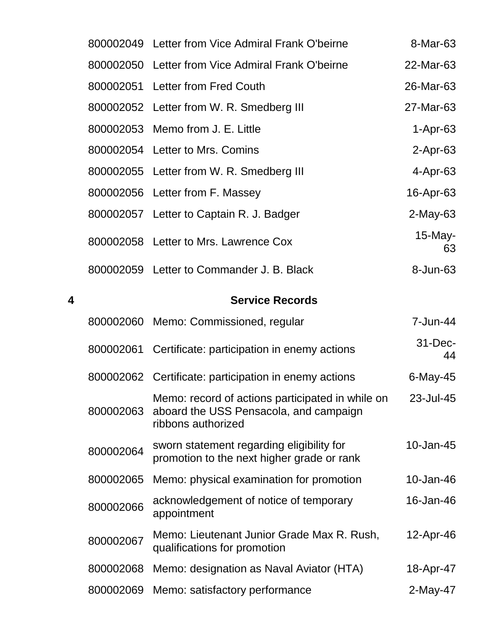|   |           | 800002049 Letter from Vice Admiral Frank O'beirne                                                                | 8-Mar-63         |
|---|-----------|------------------------------------------------------------------------------------------------------------------|------------------|
|   |           | 800002050 Letter from Vice Admiral Frank O'beirne                                                                | 22-Mar-63        |
|   |           | 800002051 Letter from Fred Couth                                                                                 | 26-Mar-63        |
|   |           | 800002052 Letter from W. R. Smedberg III                                                                         | 27-Mar-63        |
|   |           | 800002053 Memo from J. E. Little                                                                                 | $1-Apr-63$       |
|   |           | 800002054 Letter to Mrs. Comins                                                                                  | $2-Apr-63$       |
|   |           | 800002055 Letter from W. R. Smedberg III                                                                         | 4-Apr-63         |
|   |           | 800002056 Letter from F. Massey                                                                                  | 16-Apr-63        |
|   |           | 800002057 Letter to Captain R. J. Badger                                                                         | $2$ -May-63      |
|   |           | 800002058 Letter to Mrs. Lawrence Cox                                                                            | $15$ -May-<br>63 |
|   |           | 800002059 Letter to Commander J. B. Black                                                                        | 8-Jun-63         |
| 4 |           | <b>Service Records</b>                                                                                           |                  |
|   |           | 800002060 Memo: Commissioned, regular                                                                            | 7-Jun-44         |
|   |           | 800002061 Certificate: participation in enemy actions                                                            | 31-Dec-<br>44    |
|   |           | 800002062 Certificate: participation in enemy actions                                                            | $6$ -May-45      |
|   | 800002063 | Memo: record of actions participated in while on<br>aboard the USS Pensacola, and campaign<br>ribbons authorized | 23-Jul-45        |
|   | 800002064 | sworn statement regarding eligibility for<br>promotion to the next higher grade or rank                          | 10-Jan-45        |
|   | 800002065 | Memo: physical examination for promotion                                                                         | 10-Jan-46        |
|   | 800002066 | acknowledgement of notice of temporary<br>appointment                                                            | 16-Jan-46        |
|   | 800002067 | Memo: Lieutenant Junior Grade Max R. Rush,<br>qualifications for promotion                                       | 12-Apr-46        |
|   | 800002068 | Memo: designation as Naval Aviator (HTA)                                                                         | 18-Apr-47        |
|   | 800002069 | Memo: satisfactory performance                                                                                   | $2$ -May-47      |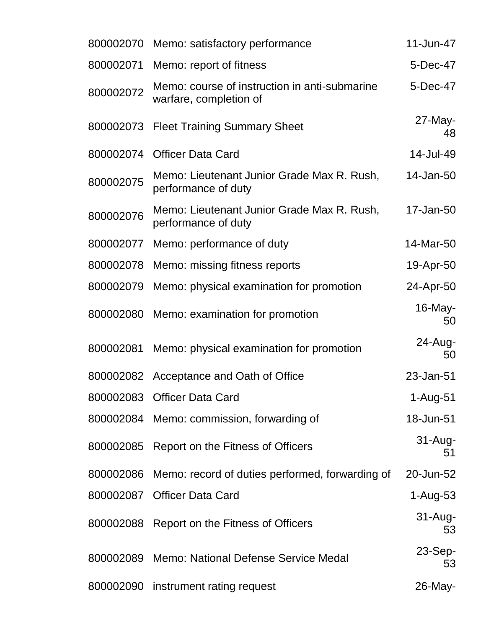| 800002070 | Memo: satisfactory performance                                          | 11-Jun-47         |
|-----------|-------------------------------------------------------------------------|-------------------|
| 800002071 | Memo: report of fitness                                                 | 5-Dec-47          |
| 800002072 | Memo: course of instruction in anti-submarine<br>warfare, completion of | 5-Dec-47          |
| 800002073 | <b>Fleet Training Summary Sheet</b>                                     | $27$ -May-<br>48  |
| 800002074 | <b>Officer Data Card</b>                                                | 14-Jul-49         |
| 800002075 | Memo: Lieutenant Junior Grade Max R. Rush,<br>performance of duty       | 14-Jan-50         |
| 800002076 | Memo: Lieutenant Junior Grade Max R. Rush,<br>performance of duty       | 17-Jan-50         |
| 800002077 | Memo: performance of duty                                               | 14-Mar-50         |
| 800002078 | Memo: missing fitness reports                                           | 19-Apr-50         |
|           | 800002079 Memo: physical examination for promotion                      | 24-Apr-50         |
| 800002080 | Memo: examination for promotion                                         | $16$ -May-<br>50  |
| 800002081 | Memo: physical examination for promotion                                | $24 - Aug-$<br>50 |
|           | 800002082 Acceptance and Oath of Office                                 | 23-Jan-51         |
|           | 800002083 Officer Data Card                                             | 1-Aug-51          |
|           | 800002084 Memo: commission, forwarding of                               | 18-Jun-51         |
|           | 800002085 Report on the Fitness of Officers                             | $31 - Aug-$<br>51 |
| 800002086 | Memo: record of duties performed, forwarding of                         | 20-Jun-52         |
|           | 800002087 Officer Data Card                                             | $1-Aug-53$        |
|           | 800002088 Report on the Fitness of Officers                             | $31 - Aug-$<br>53 |
|           | 800002089 Memo: National Defense Service Medal                          | $23-Sep-$<br>53   |
|           | 800002090 instrument rating request                                     | 26-May-           |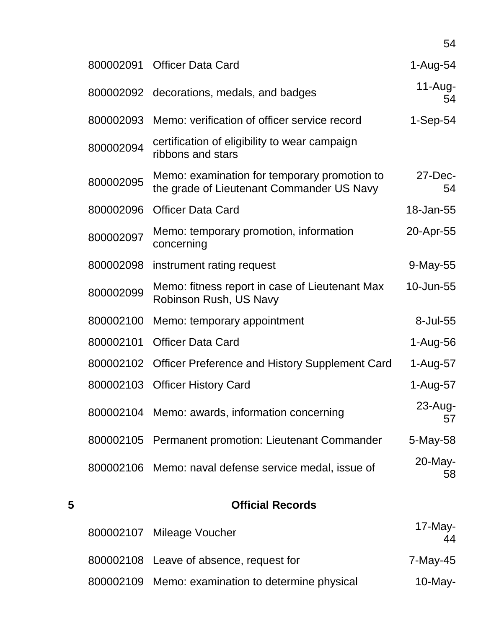| 800002091 | <b>Officer Data Card</b>                                                                  | 1-Aug-54          |
|-----------|-------------------------------------------------------------------------------------------|-------------------|
| 800002092 | decorations, medals, and badges                                                           | $11-Aug-$<br>54   |
| 800002093 | Memo: verification of officer service record                                              | $1-Sep-54$        |
| 800002094 | certification of eligibility to wear campaign<br>ribbons and stars                        |                   |
| 800002095 | Memo: examination for temporary promotion to<br>the grade of Lieutenant Commander US Navy | $27 - Dec-$<br>54 |
| 800002096 | <b>Officer Data Card</b>                                                                  | 18-Jan-55         |
| 800002097 | Memo: temporary promotion, information<br>concerning                                      | 20-Apr-55         |
| 800002098 | instrument rating request                                                                 | 9-May-55          |
| 800002099 | Memo: fitness report in case of Lieutenant Max<br>Robinson Rush, US Navy                  | 10-Jun-55         |
| 800002100 | Memo: temporary appointment                                                               | 8-Jul-55          |
| 800002101 | <b>Officer Data Card</b>                                                                  | 1-Aug-56          |
| 800002102 | <b>Officer Preference and History Supplement Card</b>                                     | 1-Aug-57          |
| 800002103 | <b>Officer History Card</b>                                                               | 1-Aug-57          |
|           | 800002104 Memo: awards, information concerning                                            | 23-Aug-<br>57     |
| 800002105 | <b>Permanent promotion: Lieutenant Commander</b>                                          | 5-May-58          |
|           | 800002106 Memo: naval defense service medal, issue of                                     | 20-May-<br>58     |
|           |                                                                                           |                   |

| $\overline{\mathbf{5}}$ | <b>Official Records</b>                           |                  |
|-------------------------|---------------------------------------------------|------------------|
|                         | 800002107 Mileage Voucher                         | $17$ -May-<br>44 |
|                         | 800002108 Leave of absence, request for           | 7-May-45         |
|                         | 800002109 Memo: examination to determine physical | $10$ -May-       |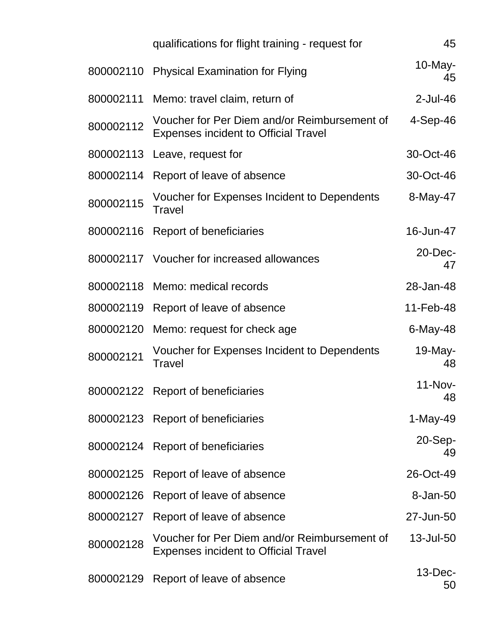|           | qualifications for flight training - request for                                            | 45                   |
|-----------|---------------------------------------------------------------------------------------------|----------------------|
| 800002110 | <b>Physical Examination for Flying</b>                                                      | $10$ -May-<br>45     |
| 800002111 | Memo: travel claim, return of                                                               | $2$ -Jul-46          |
| 800002112 | Voucher for Per Diem and/or Reimbursement of<br><b>Expenses incident to Official Travel</b> | $4-Sep-46$           |
| 800002113 | Leave, request for                                                                          | 30-Oct-46            |
| 800002114 | Report of leave of absence                                                                  | 30-Oct-46            |
| 800002115 | Voucher for Expenses Incident to Dependents<br>Travel                                       | 8-May-47             |
| 800002116 | Report of beneficiaries                                                                     | 16-Jun-47            |
|           | 800002117 Voucher for increased allowances                                                  | 20-Dec-<br>47        |
| 800002118 | Memo: medical records                                                                       | 28-Jan-48            |
| 800002119 | Report of leave of absence                                                                  | 11-Feb-48            |
| 800002120 | Memo: request for check age                                                                 | 6-May-48             |
| 800002121 | Voucher for Expenses Incident to Dependents<br>Travel                                       | 19-May-<br>48        |
|           | 800002122 Report of beneficiaries                                                           | <b>11-Nov-</b><br>48 |
|           | 800002123 Report of beneficiaries                                                           | 1-May-49             |
|           | 800002124 Report of beneficiaries                                                           | $20-Sep-$<br>49      |
|           | 800002125 Report of leave of absence                                                        | 26-Oct-49            |
| 800002126 | Report of leave of absence                                                                  | 8-Jan-50             |
| 800002127 | Report of leave of absence                                                                  | 27-Jun-50            |
| 800002128 | Voucher for Per Diem and/or Reimbursement of<br><b>Expenses incident to Official Travel</b> | 13-Jul-50            |
| 800002129 | Report of leave of absence                                                                  | $13$ -Dec-<br>50     |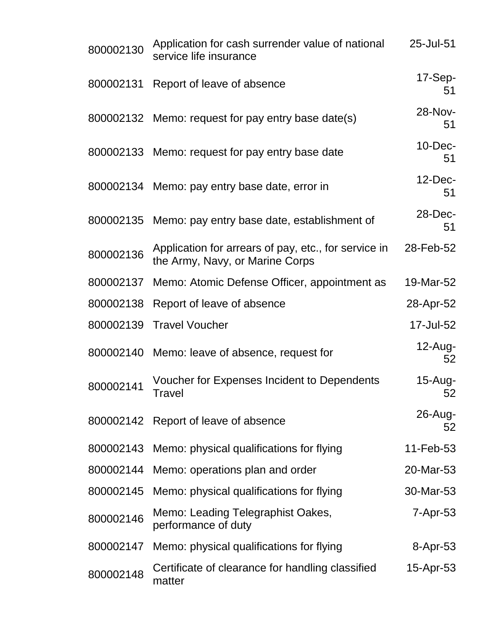| 800002130 | Application for cash surrender value of national<br>service life insurance              | 25-Jul-51        |
|-----------|-----------------------------------------------------------------------------------------|------------------|
| 800002131 | Report of leave of absence                                                              | $17-Sep-$<br>51  |
|           | 800002132 Memo: request for pay entry base date(s)                                      | 28-Nov-<br>51    |
|           | 800002133 Memo: request for pay entry base date                                         | 10-Dec-<br>51    |
|           | 800002134 Memo: pay entry base date, error in                                           | $12$ -Dec-<br>51 |
| 800002135 | Memo: pay entry base date, establishment of                                             | 28-Dec-<br>51    |
| 800002136 | Application for arrears of pay, etc., for service in<br>the Army, Navy, or Marine Corps | 28-Feb-52        |
| 800002137 | Memo: Atomic Defense Officer, appointment as                                            | 19-Mar-52        |
| 800002138 | Report of leave of absence                                                              | 28-Apr-52        |
| 800002139 | <b>Travel Voucher</b>                                                                   | 17-Jul-52        |
|           | 800002140 Memo: leave of absence, request for                                           | $12$ -Aug-<br>52 |
| 800002141 | Voucher for Expenses Incident to Dependents<br><b>Travel</b>                            | 15-Aug-<br>52    |
| 800002142 | Report of leave of absence                                                              | 26-Aug-<br>52    |
| 800002143 | Memo: physical qualifications for flying                                                | 11-Feb-53        |
| 800002144 | Memo: operations plan and order                                                         | 20-Mar-53        |
| 800002145 | Memo: physical qualifications for flying                                                | 30-Mar-53        |
| 800002146 | Memo: Leading Telegraphist Oakes,<br>performance of duty                                | $7 - Apr - 53$   |
| 800002147 | Memo: physical qualifications for flying                                                | 8-Apr-53         |
| 800002148 | Certificate of clearance for handling classified<br>matter                              | 15-Apr-53        |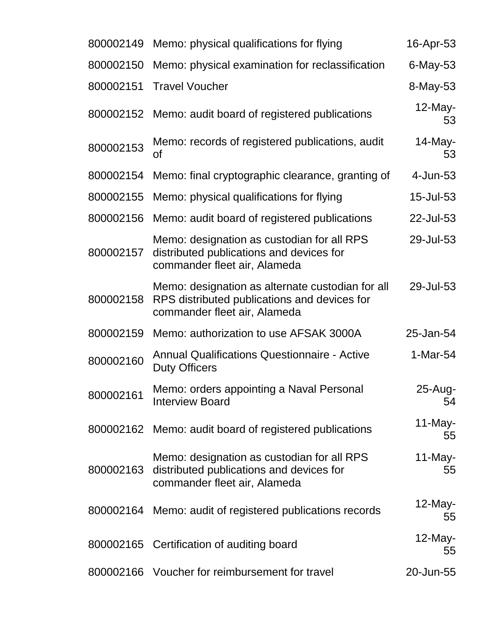| 800002149 | Memo: physical qualifications for flying                                                                                         | 16-Apr-53        |
|-----------|----------------------------------------------------------------------------------------------------------------------------------|------------------|
| 800002150 | Memo: physical examination for reclassification                                                                                  | 6-May-53         |
| 800002151 | <b>Travel Voucher</b>                                                                                                            | 8-May-53         |
| 800002152 | Memo: audit board of registered publications                                                                                     | $12$ -May-<br>53 |
| 800002153 | Memo: records of registered publications, audit<br>Οf                                                                            | $14$ -May-<br>53 |
| 800002154 | Memo: final cryptographic clearance, granting of                                                                                 | 4-Jun-53         |
| 800002155 | Memo: physical qualifications for flying                                                                                         | 15-Jul-53        |
| 800002156 | Memo: audit board of registered publications                                                                                     | 22-Jul-53        |
| 800002157 | Memo: designation as custodian for all RPS<br>distributed publications and devices for<br>commander fleet air, Alameda           | 29-Jul-53        |
| 800002158 | Memo: designation as alternate custodian for all<br>RPS distributed publications and devices for<br>commander fleet air, Alameda | 29-Jul-53        |
| 800002159 | Memo: authorization to use AFSAK 3000A                                                                                           | 25-Jan-54        |
| 800002160 | <b>Annual Qualifications Questionnaire - Active</b><br><b>Duty Officers</b>                                                      | 1-Mar-54         |
| 800002161 | Memo: orders appointing a Naval Personal<br><b>Interview Board</b>                                                               | 25-Aug-<br>54    |
| 800002162 | Memo: audit board of registered publications                                                                                     | $11$ -May-<br>55 |
| 800002163 | Memo: designation as custodian for all RPS<br>distributed publications and devices for<br>commander fleet air, Alameda           | $11$ -May-<br>55 |
| 800002164 | Memo: audit of registered publications records                                                                                   | $12$ -May-<br>55 |
|           | 800002165 Certification of auditing board                                                                                        | $12$ -May-<br>55 |
|           | 800002166 Voucher for reimbursement for travel                                                                                   | 20-Jun-55        |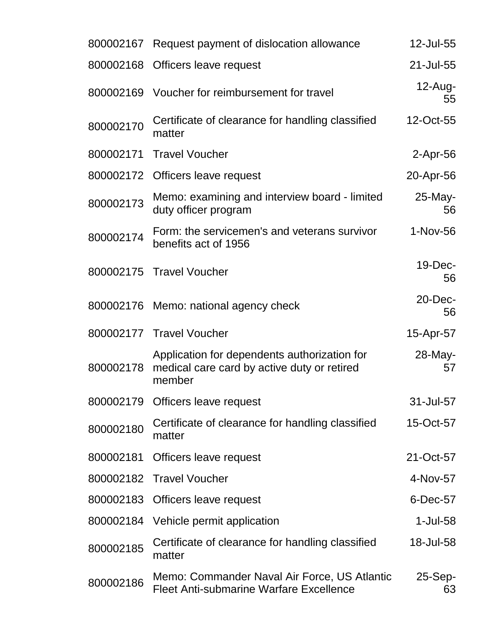|           | 800002167 Request payment of dislocation allowance                                                    | 12-Jul-55        |
|-----------|-------------------------------------------------------------------------------------------------------|------------------|
| 800002168 | Officers leave request                                                                                | 21-Jul-55        |
|           | 800002169 Voucher for reimbursement for travel                                                        | $12$ -Aug-<br>55 |
| 800002170 | Certificate of clearance for handling classified<br>matter                                            | 12-Oct-55        |
| 800002171 | <b>Travel Voucher</b>                                                                                 | $2$ -Apr-56      |
|           | 800002172 Officers leave request                                                                      | 20-Apr-56        |
| 800002173 | Memo: examining and interview board - limited<br>duty officer program                                 | 25-May-<br>56    |
| 800002174 | Form: the servicemen's and veterans survivor<br>benefits act of 1956                                  | 1-Nov-56         |
|           | 800002175 Travel Voucher                                                                              | 19-Dec-<br>56    |
|           | 800002176 Memo: national agency check                                                                 | 20-Dec-<br>56    |
|           | 800002177 Travel Voucher                                                                              | 15-Apr-57        |
| 800002178 | Application for dependents authorization for<br>medical care card by active duty or retired<br>member | 28-May-<br>57    |
|           | 800002179 Officers leave request                                                                      | 31-Jul-57        |
| 800002180 | Certificate of clearance for handling classified<br>matter                                            | 15-Oct-57        |
| 800002181 | Officers leave request                                                                                | 21-Oct-57        |
| 800002182 | <b>Travel Voucher</b>                                                                                 | 4-Nov-57         |
| 800002183 | Officers leave request                                                                                | 6-Dec-57         |
|           | 800002184 Vehicle permit application                                                                  | 1-Jul-58         |
| 800002185 | Certificate of clearance for handling classified<br>matter                                            | 18-Jul-58        |
| 800002186 | Memo: Commander Naval Air Force, US Atlantic<br><b>Fleet Anti-submarine Warfare Excellence</b>        | $25-Sep-$<br>63  |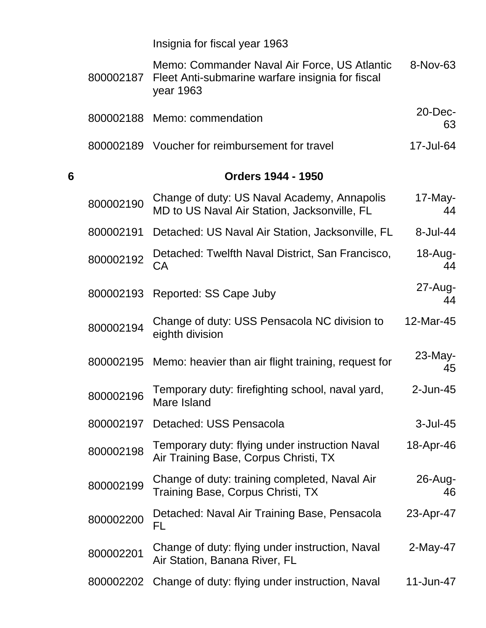Insignia for fiscal year 1963

|   | 800002187 | Memo: Commander Naval Air Force, US Atlantic<br>Fleet Anti-submarine warfare insignia for fiscal<br>year 1963 | 8-Nov-63          |
|---|-----------|---------------------------------------------------------------------------------------------------------------|-------------------|
|   |           | 800002188 Memo: commendation                                                                                  | $20$ -Dec-<br>63  |
|   |           | 800002189 Voucher for reimbursement for travel                                                                | 17-Jul-64         |
| 6 |           | <b>Orders 1944 - 1950</b>                                                                                     |                   |
|   | 800002190 | Change of duty: US Naval Academy, Annapolis<br>MD to US Naval Air Station, Jacksonville, FL                   | $17$ -May-<br>44  |
|   | 800002191 | Detached: US Naval Air Station, Jacksonville, FL                                                              | $8 -$ Jul $-44$   |
|   | 800002192 | Detached: Twelfth Naval District, San Francisco,<br>CA                                                        | $18 - Aug-$<br>44 |
|   | 800002193 | Reported: SS Cape Juby                                                                                        | $27$ -Aug-<br>44  |
|   | 800002194 | Change of duty: USS Pensacola NC division to<br>eighth division                                               | 12-Mar-45         |
|   | 800002195 | Memo: heavier than air flight training, request for                                                           | 23-May-<br>45     |
|   | 800002196 | Temporary duty: firefighting school, naval yard,<br>Mare Island                                               | $2$ -Jun-45       |
|   | 800002197 | Detached: USS Pensacola                                                                                       | $3$ -Jul-45       |
|   | 800002198 | Temporary duty: flying under instruction Naval<br>Air Training Base, Corpus Christi, TX                       | 18-Apr-46         |
|   | 800002199 | Change of duty: training completed, Naval Air<br>Training Base, Corpus Christi, TX                            | 26-Aug-<br>46     |
|   | 800002200 | Detached: Naval Air Training Base, Pensacola<br>FL                                                            | 23-Apr-47         |
|   | 800002201 | Change of duty: flying under instruction, Naval<br>Air Station, Banana River, FL                              | 2-May-47          |
|   | 800002202 | Change of duty: flying under instruction, Naval                                                               | 11-Jun-47         |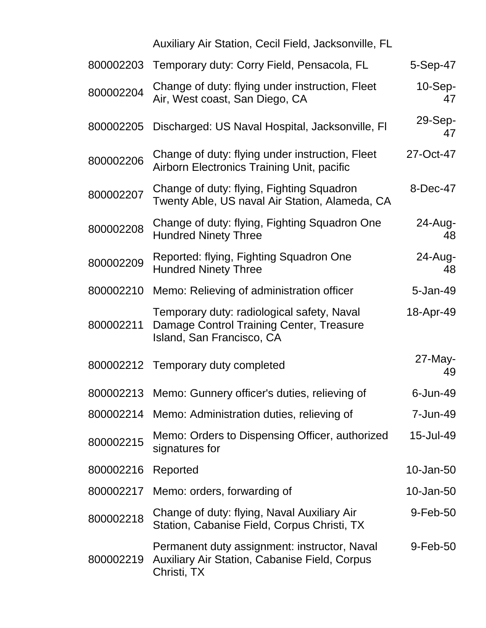|           | Auxiliary Air Station, Cecil Field, Jacksonville, FL                                                                |                 |
|-----------|---------------------------------------------------------------------------------------------------------------------|-----------------|
| 800002203 | Temporary duty: Corry Field, Pensacola, FL                                                                          | 5-Sep-47        |
| 800002204 | Change of duty: flying under instruction, Fleet<br>Air, West coast, San Diego, CA                                   | $10-Sep-$<br>47 |
| 800002205 | Discharged: US Naval Hospital, Jacksonville, FI                                                                     | 29-Sep-<br>47   |
| 800002206 | Change of duty: flying under instruction, Fleet<br>Airborn Electronics Training Unit, pacific                       | 27-Oct-47       |
| 800002207 | Change of duty: flying, Fighting Squadron<br>Twenty Able, US naval Air Station, Alameda, CA                         | 8-Dec-47        |
| 800002208 | Change of duty: flying, Fighting Squadron One<br><b>Hundred Ninety Three</b>                                        | 24-Aug-<br>48   |
| 800002209 | Reported: flying, Fighting Squadron One<br><b>Hundred Ninety Three</b>                                              | 24-Aug-<br>48   |
| 800002210 | Memo: Relieving of administration officer                                                                           | 5-Jan-49        |
| 800002211 | Temporary duty: radiological safety, Naval<br>Damage Control Training Center, Treasure<br>Island, San Francisco, CA | 18-Apr-49       |
|           | 800002212 Temporary duty completed                                                                                  | 27-May-<br>49   |
|           | 800002213 Memo: Gunnery officer's duties, relieving of                                                              | 6-Jun-49        |
|           | 800002214 Memo: Administration duties, relieving of                                                                 | 7-Jun-49        |
| 800002215 | Memo: Orders to Dispensing Officer, authorized<br>signatures for                                                    | 15-Jul-49       |
| 800002216 | Reported                                                                                                            | 10-Jan-50       |
| 800002217 | Memo: orders, forwarding of                                                                                         | 10-Jan-50       |
| 800002218 | Change of duty: flying, Naval Auxiliary Air<br>Station, Cabanise Field, Corpus Christi, TX                          | 9-Feb-50        |
| 800002219 | Permanent duty assignment: instructor, Naval<br><b>Auxiliary Air Station, Cabanise Field, Corpus</b><br>Christi, TX | 9-Feb-50        |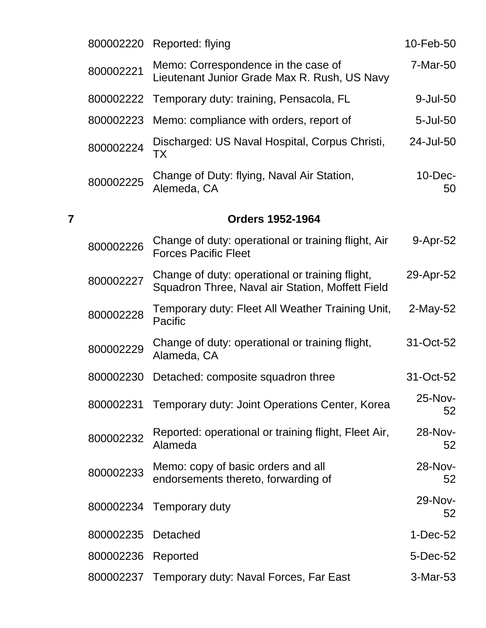|   | 800002220 | Reported: flying                                                                                    | 10-Feb-50        |
|---|-----------|-----------------------------------------------------------------------------------------------------|------------------|
|   | 800002221 | Memo: Correspondence in the case of<br>Lieutenant Junior Grade Max R. Rush, US Navy                 | 7-Mar-50         |
|   | 800002222 | Temporary duty: training, Pensacola, FL                                                             | 9-Jul-50         |
|   | 800002223 | Memo: compliance with orders, report of                                                             | $5 -$ Jul $-50$  |
|   | 800002224 | Discharged: US Naval Hospital, Corpus Christi,<br>ТX                                                | 24-Jul-50        |
|   | 800002225 | Change of Duty: flying, Naval Air Station,<br>Alemeda, CA                                           | $10$ -Dec-<br>50 |
| 7 |           | <b>Orders 1952-1964</b>                                                                             |                  |
|   | 800002226 | Change of duty: operational or training flight, Air<br><b>Forces Pacific Fleet</b>                  | 9-Apr-52         |
|   | 800002227 | Change of duty: operational or training flight,<br>Squadron Three, Naval air Station, Moffett Field | 29-Apr-52        |
|   | 800002228 | Temporary duty: Fleet All Weather Training Unit,<br>Pacific                                         | $2$ -May-52      |
|   | 800002229 | Change of duty: operational or training flight,<br>Alameda, CA                                      | 31-Oct-52        |
|   | 800002230 | Detached: composite squadron three                                                                  | 31-Oct-52        |
|   | 800002231 | Temporary duty: Joint Operations Center, Korea                                                      | 25-Nov-<br>52    |
|   | 800002232 | Reported: operational or training flight, Fleet Air,<br>Alameda                                     | 28-Nov-<br>52    |
|   | 800002233 | Memo: copy of basic orders and all<br>endorsements thereto, forwarding of                           | 28-Nov-<br>52    |
|   | 800002234 | Temporary duty                                                                                      | 29-Nov-<br>52    |
|   | 800002235 | Detached                                                                                            | $1-Dec-52$       |
|   | 800002236 | Reported                                                                                            | 5-Dec-52         |
|   |           | 800002237 Temporary duty: Naval Forces, Far East                                                    | 3-Mar-53         |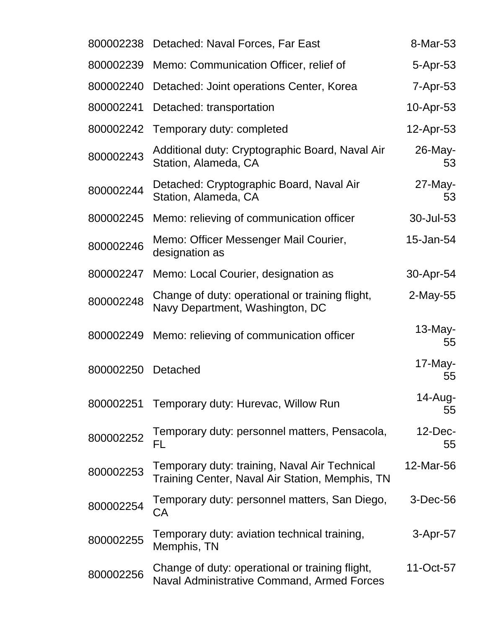| 800002238 | Detached: Naval Forces, Far East                                                                 | 8-Mar-53         |
|-----------|--------------------------------------------------------------------------------------------------|------------------|
| 800002239 | Memo: Communication Officer, relief of                                                           | 5-Apr-53         |
| 800002240 | Detached: Joint operations Center, Korea                                                         | $7 - Apr - 53$   |
| 800002241 | Detached: transportation                                                                         | $10$ -Apr-53     |
| 800002242 | Temporary duty: completed                                                                        | 12-Apr-53        |
| 800002243 | Additional duty: Cryptographic Board, Naval Air<br>Station, Alameda, CA                          | 26-May-<br>53    |
| 800002244 | Detached: Cryptographic Board, Naval Air<br>Station, Alameda, CA                                 | $27$ -May-<br>53 |
| 800002245 | Memo: relieving of communication officer                                                         | 30-Jul-53        |
| 800002246 | Memo: Officer Messenger Mail Courier,<br>designation as                                          | 15-Jan-54        |
| 800002247 | Memo: Local Courier, designation as                                                              | 30-Apr-54        |
| 800002248 | Change of duty: operational or training flight,<br>Navy Department, Washington, DC               | $2$ -May-55      |
| 800002249 | Memo: relieving of communication officer                                                         | $13$ -May-<br>55 |
| 800002250 | Detached                                                                                         | $17$ -May-<br>55 |
| 800002251 | Temporary duty: Hurevac, Willow Run                                                              | 14-Aug-<br>55    |
| 800002252 | Temporary duty: personnel matters, Pensacola,<br>FL                                              | $12$ -Dec-<br>55 |
| 800002253 | Temporary duty: training, Naval Air Technical<br>Training Center, Naval Air Station, Memphis, TN | 12-Mar-56        |
| 800002254 | Temporary duty: personnel matters, San Diego,<br>СA                                              | 3-Dec-56         |
| 800002255 | Temporary duty: aviation technical training,<br>Memphis, TN                                      | 3-Apr-57         |
| 800002256 | Change of duty: operational or training flight,<br>Naval Administrative Command, Armed Forces    | 11-Oct-57        |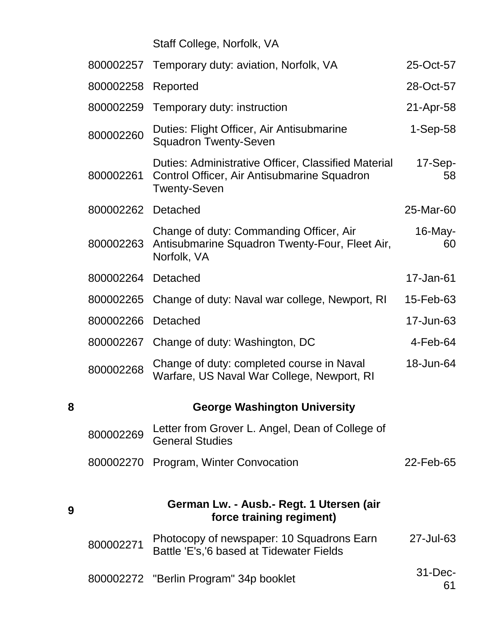## Staff College, Norfolk, VA

|   | 800002257 | Temporary duty: aviation, Norfolk, VA                                                                                     | 25-Oct-57        |
|---|-----------|---------------------------------------------------------------------------------------------------------------------------|------------------|
|   | 800002258 | Reported                                                                                                                  | 28-Oct-57        |
|   | 800002259 | Temporary duty: instruction                                                                                               | 21-Apr-58        |
|   | 800002260 | Duties: Flight Officer, Air Antisubmarine<br><b>Squadron Twenty-Seven</b>                                                 | $1-Sep-58$       |
|   | 800002261 | Duties: Administrative Officer, Classified Material<br>Control Officer, Air Antisubmarine Squadron<br><b>Twenty-Seven</b> | $17-Sep-$<br>58  |
|   | 800002262 | Detached                                                                                                                  | 25-Mar-60        |
|   | 800002263 | Change of duty: Commanding Officer, Air<br>Antisubmarine Squadron Twenty-Four, Fleet Air,<br>Norfolk, VA                  | 16-May-<br>60    |
|   | 800002264 | Detached                                                                                                                  | 17-Jan-61        |
|   | 800002265 | Change of duty: Naval war college, Newport, RI                                                                            | 15-Feb-63        |
|   | 800002266 | Detached                                                                                                                  | 17-Jun-63        |
|   | 800002267 | Change of duty: Washington, DC                                                                                            | $4$ -Feb-64      |
|   | 800002268 | Change of duty: completed course in Naval<br>Warfare, US Naval War College, Newport, RI                                   | 18-Jun-64        |
| 8 |           | <b>George Washington University</b>                                                                                       |                  |
|   | 800002269 | Letter from Grover L. Angel, Dean of College of<br><b>General Studies</b>                                                 |                  |
|   | 800002270 | Program, Winter Convocation                                                                                               | 22-Feb-65        |
| 9 |           | German Lw. - Ausb.- Regt. 1 Utersen (air<br>force training regiment)                                                      |                  |
|   | 800002271 | Photocopy of newspaper: 10 Squadrons Earn<br>Battle 'E's,'6 based at Tidewater Fields                                     | 27-Jul-63        |
|   |           | 800002272 "Berlin Program" 34p booklet                                                                                    | $31$ -Dec-<br>61 |

**9**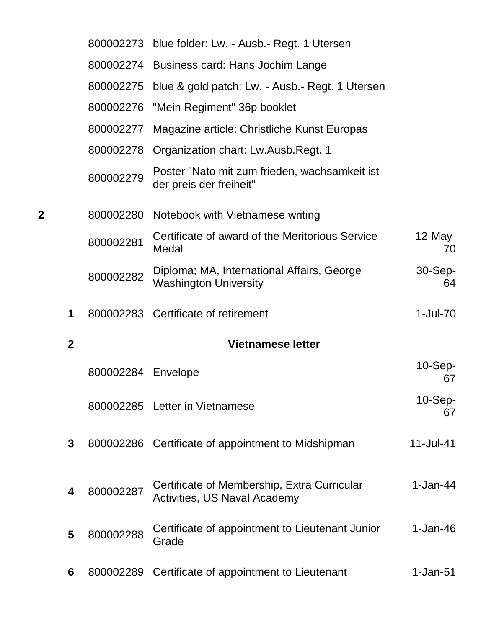|              |              |                    | 800002273 blue folder: Lw. - Ausb.- Regt. 1 Utersen                         |                  |
|--------------|--------------|--------------------|-----------------------------------------------------------------------------|------------------|
|              |              |                    | 800002274 Business card: Hans Jochim Lange                                  |                  |
|              |              |                    | 800002275 blue & gold patch: Lw. - Ausb.- Regt. 1 Utersen                   |                  |
|              |              |                    | 800002276 "Mein Regiment" 36p booklet                                       |                  |
|              |              | 800002277          | Magazine article: Christliche Kunst Europas                                 |                  |
|              |              | 800002278          | Organization chart: Lw.Ausb.Regt. 1                                         |                  |
|              |              | 800002279          | Poster "Nato mit zum frieden, wachsamkeit ist<br>der preis der freiheit"    |                  |
| $\mathbf{2}$ |              |                    | 800002280 Notebook with Vietnamese writing                                  |                  |
|              |              | 800002281          | Certificate of award of the Meritorious Service<br>Medal                    | $12$ -May-<br>70 |
|              |              | 800002282          | Diploma; MA, International Affairs, George<br><b>Washington University</b>  | 30-Sep-<br>64    |
|              | 1            |                    | 800002283 Certificate of retirement                                         | 1-Jul-70         |
|              | $\mathbf{2}$ |                    | <b>Vietnamese letter</b>                                                    |                  |
|              |              | 800002284 Envelope |                                                                             | $10-Sep-$<br>67  |
|              |              |                    | 800002285 Letter in Vietnamese                                              | 10-Sep-<br>67    |
|              | $\mathbf{3}$ |                    | 800002286 Certificate of appointment to Midshipman                          | $11$ -Jul-41     |
|              | 4            | 800002287          | Certificate of Membership, Extra Curricular<br>Activities, US Naval Academy | $1-Jan-44$       |
|              | 5            | 800002288          | Certificate of appointment to Lieutenant Junior<br>Grade                    | $1-Jan-46$       |
|              | 6            | 800002289          | Certificate of appointment to Lieutenant                                    | $1-Jan-51$       |